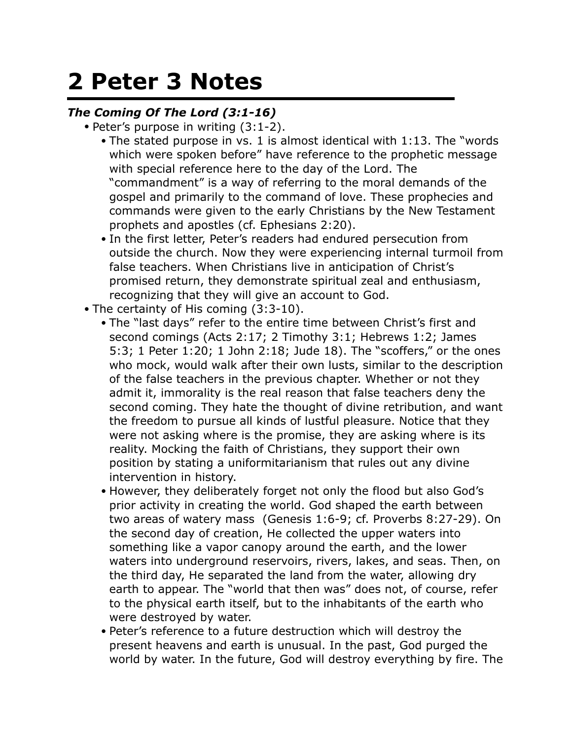## **2 Peter 3 Notes**

## *The Coming Of The Lord (3:1-16)*

- Peter's purpose in writing (3:1-2).
	- The stated purpose in vs. 1 is almost identical with 1:13. The "words which were spoken before" have reference to the prophetic message with special reference here to the day of the Lord. The "commandment" is a way of referring to the moral demands of the gospel and primarily to the command of love. These prophecies and commands were given to the early Christians by the New Testament prophets and apostles (cf. Ephesians 2:20).
	- In the first letter, Peter's readers had endured persecution from outside the church. Now they were experiencing internal turmoil from false teachers. When Christians live in anticipation of Christ's promised return, they demonstrate spiritual zeal and enthusiasm, recognizing that they will give an account to God.
- The certainty of His coming (3:3-10).
	- The "last days" refer to the entire time between Christ's first and second comings (Acts 2:17; 2 Timothy 3:1; Hebrews 1:2; James 5:3; 1 Peter 1:20; 1 John 2:18; Jude 18). The "scoffers," or the ones who mock, would walk after their own lusts, similar to the description of the false teachers in the previous chapter. Whether or not they admit it, immorality is the real reason that false teachers deny the second coming. They hate the thought of divine retribution, and want the freedom to pursue all kinds of lustful pleasure. Notice that they were not asking where is the promise, they are asking where is its reality. Mocking the faith of Christians, they support their own position by stating a uniformitarianism that rules out any divine intervention in history.
	- However, they deliberately forget not only the flood but also God's prior activity in creating the world. God shaped the earth between two areas of watery mass (Genesis 1:6-9; cf. Proverbs 8:27-29). On the second day of creation, He collected the upper waters into something like a vapor canopy around the earth, and the lower waters into underground reservoirs, rivers, lakes, and seas. Then, on the third day, He separated the land from the water, allowing dry earth to appear. The "world that then was" does not, of course, refer to the physical earth itself, but to the inhabitants of the earth who were destroyed by water.
	- Peter's reference to a future destruction which will destroy the present heavens and earth is unusual. In the past, God purged the world by water. In the future, God will destroy everything by fire. The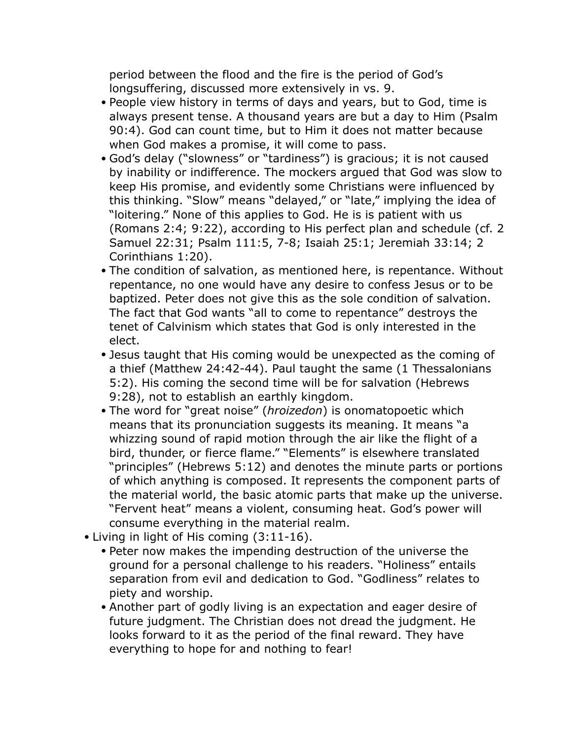period between the flood and the fire is the period of God's longsuffering, discussed more extensively in vs. 9.

- People view history in terms of days and years, but to God, time is always present tense. A thousand years are but a day to Him (Psalm 90:4). God can count time, but to Him it does not matter because when God makes a promise, it will come to pass.
- God's delay ("slowness" or "tardiness") is gracious; it is not caused by inability or indifference. The mockers argued that God was slow to keep His promise, and evidently some Christians were influenced by this thinking. "Slow" means "delayed," or "late," implying the idea of "loitering." None of this applies to God. He is is patient with us (Romans 2:4; 9:22), according to His perfect plan and schedule (cf. 2 Samuel 22:31; Psalm 111:5, 7-8; Isaiah 25:1; Jeremiah 33:14; 2 Corinthians 1:20).
- The condition of salvation, as mentioned here, is repentance. Without repentance, no one would have any desire to confess Jesus or to be baptized. Peter does not give this as the sole condition of salvation. The fact that God wants "all to come to repentance" destroys the tenet of Calvinism which states that God is only interested in the elect.
- Jesus taught that His coming would be unexpected as the coming of a thief (Matthew 24:42-44). Paul taught the same (1 Thessalonians 5:2). His coming the second time will be for salvation (Hebrews 9:28), not to establish an earthly kingdom.
- The word for "great noise" (*hroizedon*) is onomatopoetic which means that its pronunciation suggests its meaning. It means "a whizzing sound of rapid motion through the air like the flight of a bird, thunder, or fierce flame." "Elements" is elsewhere translated "principles" (Hebrews 5:12) and denotes the minute parts or portions of which anything is composed. It represents the component parts of the material world, the basic atomic parts that make up the universe. "Fervent heat" means a violent, consuming heat. God's power will consume everything in the material realm.
- Living in light of His coming (3:11-16).
	- Peter now makes the impending destruction of the universe the ground for a personal challenge to his readers. "Holiness" entails separation from evil and dedication to God. "Godliness" relates to piety and worship.
	- Another part of godly living is an expectation and eager desire of future judgment. The Christian does not dread the judgment. He looks forward to it as the period of the final reward. They have everything to hope for and nothing to fear!